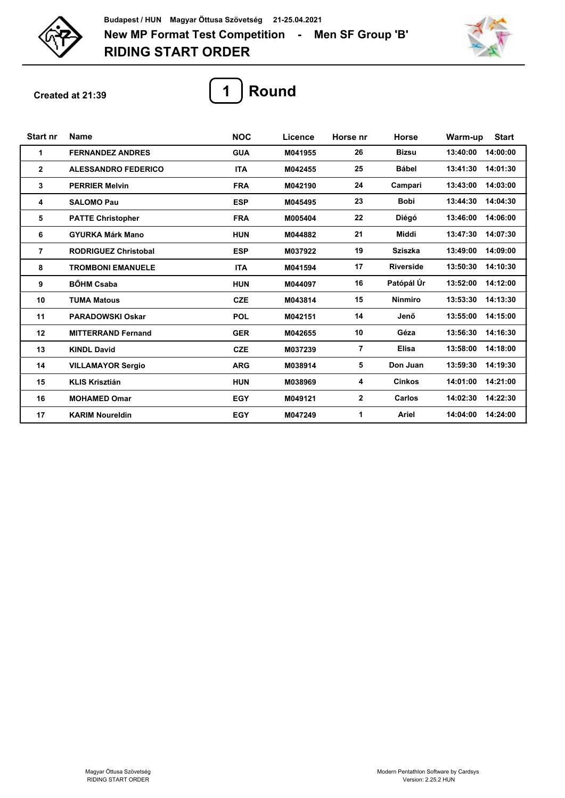



**Created at 21:39**



| <b>Start nr</b> | <b>Name</b>                 | <b>NOC</b> | Licence | Horse nr     | <b>Horse</b>     | <b>Start</b><br>Warm-up |
|-----------------|-----------------------------|------------|---------|--------------|------------------|-------------------------|
| 1               | <b>FERNANDEZ ANDRES</b>     | <b>GUA</b> | M041955 | 26           | <b>Bizsu</b>     | 14:00:00<br>13:40:00    |
| $\mathbf{2}$    | <b>ALESSANDRO FEDERICO</b>  | <b>ITA</b> | M042455 | 25           | Bábel            | 14:01:30<br>13:41:30    |
| 3               | <b>PERRIER Melvin</b>       | <b>FRA</b> | M042190 | 24           | Campari          | 14:03:00<br>13:43:00    |
| 4               | <b>SALOMO Pau</b>           | <b>ESP</b> | M045495 | 23           | <b>Bobi</b>      | 13:44:30<br>14:04:30    |
| 5               | <b>PATTE Christopher</b>    | <b>FRA</b> | M005404 | 22           | Diégó            | 13:46:00<br>14:06:00    |
| 6               | <b>GYURKA Márk Mano</b>     | <b>HUN</b> | M044882 | 21           | Middi            | 13:47:30<br>14:07:30    |
| $\overline{7}$  | <b>RODRIGUEZ Christobal</b> | <b>ESP</b> | M037922 | 19           | <b>Sziszka</b>   | 13:49:00<br>14:09:00    |
| 8               | <b>TROMBONI EMANUELE</b>    | <b>ITA</b> | M041594 | 17           | <b>Riverside</b> | 13:50:30<br>14:10:30    |
| 9               | <b>BŐHM Csaba</b>           | <b>HUN</b> | M044097 | 16           | Patópál Úr       | 14:12:00<br>13:52:00    |
| 10              | <b>TUMA Matous</b>          | <b>CZE</b> | M043814 | 15           | <b>Ninmiro</b>   | 14:13:30<br>13:53:30    |
| 11              | <b>PARADOWSKI Oskar</b>     | <b>POL</b> | M042151 | 14           | Jenő             | 14:15:00<br>13:55:00    |
| 12              | <b>MITTERRAND Fernand</b>   | <b>GER</b> | M042655 | 10           | Géza             | 13:56:30<br>14:16:30    |
| 13              | <b>KINDL David</b>          | <b>CZE</b> | M037239 | 7            | <b>Elisa</b>     | 13:58:00<br>14:18:00    |
| 14              | <b>VILLAMAYOR Sergio</b>    | <b>ARG</b> | M038914 | 5            | Don Juan         | 13:59:30<br>14:19:30    |
| 15              | <b>KLIS Krisztián</b>       | <b>HUN</b> | M038969 | 4            | <b>Cinkos</b>    | 14:01:00<br>14:21:00    |
| 16              | <b>MOHAMED Omar</b>         | <b>EGY</b> | M049121 | $\mathbf{2}$ | Carlos           | 14:22:30<br>14:02:30    |
| 17              | <b>KARIM Noureldin</b>      | <b>EGY</b> | M047249 | 1            | Ariel            | 14:04:00<br>14:24:00    |